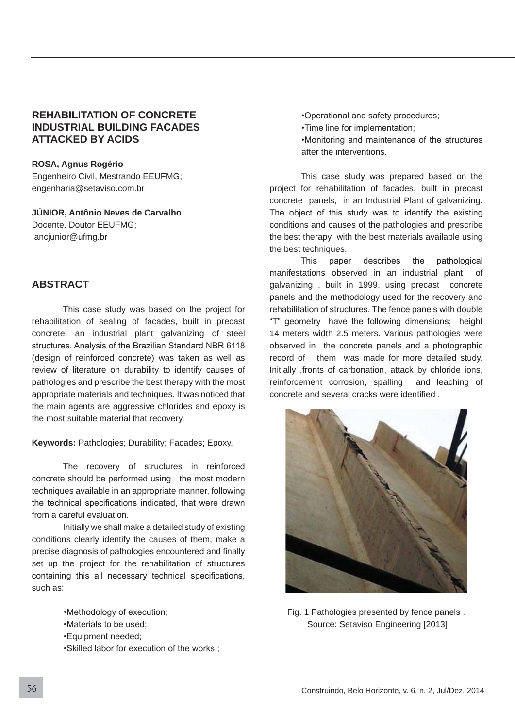## **REHABILITATION OF CONCRETE INDUSTRIAL BUILDING FACADES ATTACKED BY ACIDS**

**ROSA, Agnus Rogério** Engenheiro Civil, Mestrando EEUFMG; engenharia@setaviso.com.br

**JÚNIOR, Antônio Neves de Carvalho** Docente. Doutor EEUFMG; ancjunior@ufmg.br

# **ABSTRACT**

This case study was based on the project for rehabilitation of sealing of facades, built in precast concrete, an industrial plant galvanizing of steel structures. Analysis of the Brazilian Standard NBR 6118 (design of reinforced concrete) was taken as well as review of literature on durability to identify causes of pathologies and prescribe the best therapy with the most appropriate materials and techniques. It was noticed that the main agents are aggressive chlorides and epoxy is the most suitable material that recovery.

**Keywords:** Pathologies; Durability; Facades; Epoxy.

The recovery of structures in reinforced concrete should be performed using the most modern techniques available in an appropriate manner, following the technical specifications indicated, that were drawn from a careful evaluation.

 Initially we shall make a detailed study of existing conditions clearly identify the causes of them, make a precise diagnosis of pathologies encountered and finally set up the project for the rehabilitation of structures containing this all necessary technical specifications, such as:

•Methodology of execution;

- •Materials to be used:
- \*Equipment needed;

•Skilled labor for execution of the works :

•Operational and safety procedures;

•Time line for implementation;

•Monitoring and maintenance of the structures after the interventions.

This case study was prepared based on the project for rehabilitation of facades, built in precast concrete panels, in an Industrial Plant of galvanizing. The object of this study was to identify the existing conditions and causes of the pathologies and prescribe the best therapy with the best materials available using the best techniques.

This paper describes the pathological manifestations observed in an industrial plant of galvanizing , built in 1999, using precast concrete panels and the methodology used for the recovery and rehabilitation of structures. The fence panels with double "T" geometry have the following dimensions; height 14 meters width 2.5 meters. Various pathologies were observed in the concrete panels and a photographic record of them was made for more detailed study. Initially ,fronts of carbonation, attack by chloride ions, reinforcement corrosion, spalling and leaching of concrete and several cracks were identified.



Fig. 1 Pathologies presented by fence panels . Source: Setaviso Engineering [2013]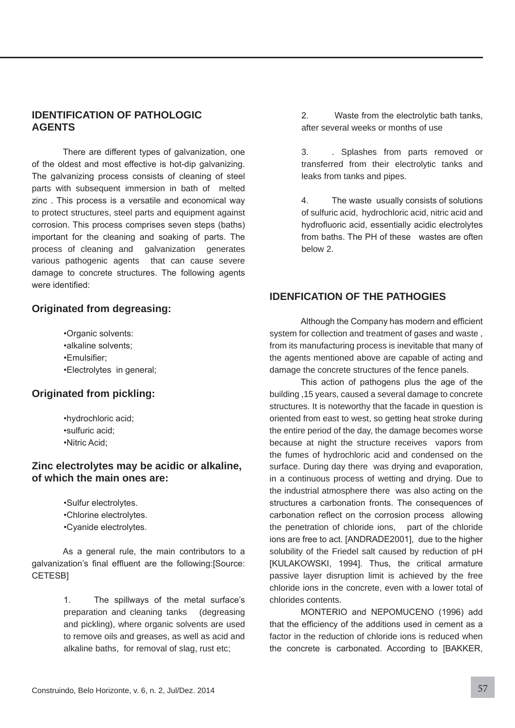## **IDENTIFICATION OF PATHOLOGIC AGENTS**

There are different types of galvanization, one of the oldest and most effective is hot-dip galvanizing. The galvanizing process consists of cleaning of steel parts with subsequent immersion in bath of melted zinc. This process is a versatile and economical way to protect structures, steel parts and equipment against corrosion. This process comprises seven steps (baths) important for the cleaning and soaking of parts. The process of cleaning and galvanization generates various pathogenic agents that can cause severe damage to concrete structures. The following agents were identified:

## **Originated from degreasing:**

•Organic solvents: •alkaline solvents: •Emulsifier: \*Electrolytes in general;

## **Originated from pickling:**

•hydrochloric acid; ·sulfuric acid; •Nitric Acid:

## **Zinc electrolytes may be acidic or alkaline, of which the main ones are:**

•Sulfur electrolytes. .Chlorine electrolytes. \*Cvanide electrolytes.

As a general rule, the main contributors to a galvanization's final effluent are the following: [Source: CETESB1

> 1. The spillways of the metal surface's preparation and cleaning tanks (degreasing and pickling), where organic solvents are used to remove oils and greases, as well as acid and alkaline baths, for removal of slag, rust etc;

2. Waste from the electrolytic bath tanks, after several weeks or months of use

3. . Splashes from parts removed or transferred from their electrolytic tanks and leaks from tanks and pipes.

4. The waste usually consists of solutions of sulfuric acid, hydrochloric acid, nitric acid and hydrofluoric acid, essentially acidic electrolytes from baths. The PH of these wastes are often below 2.

## **IDENFICATION OF THE PATHOGIES**

Although the Company has modern and efficient system for collection and treatment of gases and waste , from its manufacturing process is inevitable that many of the agents mentioned above are capable of acting and damage the concrete structures of the fence panels.

This action of pathogens plus the age of the building ,15 years, caused a several damage to concrete structures. It is noteworthy that the facade in question is oriented from east to west, so getting heat stroke during the entire period of the day, the damage becomes worse because at night the structure receives vapors from the fumes of hydrochloric acid and condensed on the surface. During day there was drying and evaporation, in a continuous process of wetting and drying. Due to the industrial atmosphere there was also acting on the structures a carbonation fronts. The consequences of carbonation reflect on the corrosion process allowing the penetration of chloride ions, part of the chloride ions are free to act. [ANDRADE2001], due to the higher solubility of the Friedel salt caused by reduction of pH [KULAKOWSKI, 1994]. Thus, the critical armature passive layer disruption limit is achieved by the free chloride ions in the concrete, even with a lower total of chlorides contents.

MONTERIO and NEPOMUCENO (1996) add that the efficiency of the additions used in cement as a factor in the reduction of chloride ions is reduced when the concrete is carbonated. According to [BAKKER,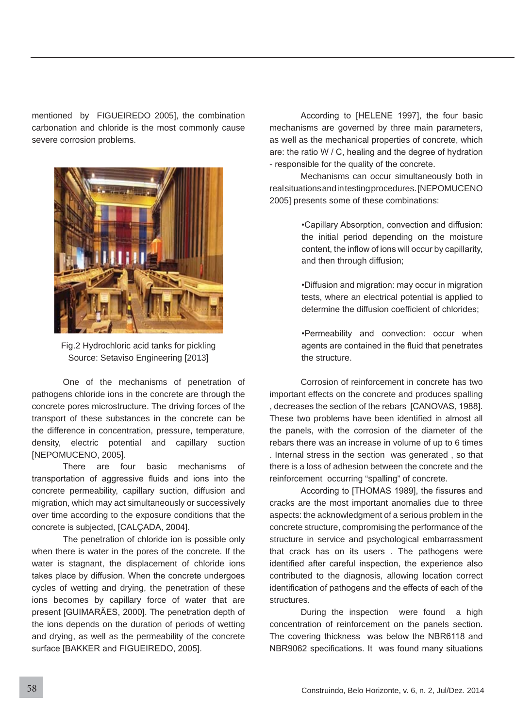mentioned by FIGUEIREDO 2005], the combination carbonation and chloride is the most commonly cause severe corrosion problems.



Fig.2 Hydrochloric acid tanks for pickling Source: Setaviso Engineering [2013]

 One of the mechanisms of penetration of pathogens chloride ions in the concrete are through the concrete pores microstructure. The driving forces of the transport of these substances in the concrete can be the difference in concentration, pressure, temperature, density, electric potential and capillary suction [NEPOMUCENO, 2005].

There are four basic mechanisms of transportation of aggressive fluids and ions into the concrete permeability, capillary suction, diffusion and migration, which may act simultaneously or successively over time according to the exposure conditions that the concrete is subjected, [CALCADA, 2004].

The penetration of chloride ion is possible only when there is water in the pores of the concrete. If the water is stagnant, the displacement of chloride ions takes place by diffusion. When the concrete undergoes cycles of wetting and drying, the penetration of these ions becomes by capillary force of water that are present [GUIMARÃES, 2000]. The penetration depth of the ions depends on the duration of periods of wetting and drying, as well as the permeability of the concrete surface [BAKKER and FIGUEIREDO, 2005].

According to [HELENE 1997], the four basic mechanisms are governed by three main parameters, as well as the mechanical properties of concrete, which are: the ratio W / C, healing and the degree of hydration - responsible for the quality of the concrete.

 Mechanisms can occur simultaneously both in real situations and in testing procedures. [NEPOMUCENO 2005] presents some of these combinations:

> .Capillary Absorption, convection and diffusion: the initial period depending on the moisture content, the inflow of ions will occur by capillarity, and then through diffusion;

> \*Diffusion and migration: may occur in migration tests, where an electrical potential is applied to determine the diffusion coefficient of chlorides;

> •Permeability and convection: occur when agents are contained in the fluid that penetrates the structure.

 Corrosion of reinforcement in concrete has two important effects on the concrete and produces spalling , decreases the section of the rebars [CANOVAS, 1988]. These two problems have been identified in almost all the panels, with the corrosion of the diameter of the rebars there was an increase in volume of up to 6 times . Internal stress in the section was generated , so that there is a loss of adhesion between the concrete and the reinforcement occurring "spalling" of concrete.

According to [THOMAS 1989], the fissures and cracks are the most important anomalies due to three aspects: the acknowledgment of a serious problem in the concrete structure, compromising the performance of the structure in service and psychological embarrassment that crack has on its users. The pathogens were identified after careful inspection, the experience also contributed to the diagnosis, allowing location correct identification of pathogens and the effects of each of the structures.

 During the inspection were found a high concentration of reinforcement on the panels section. The covering thickness was below the NBR6118 and NBR9062 specifications. It was found many situations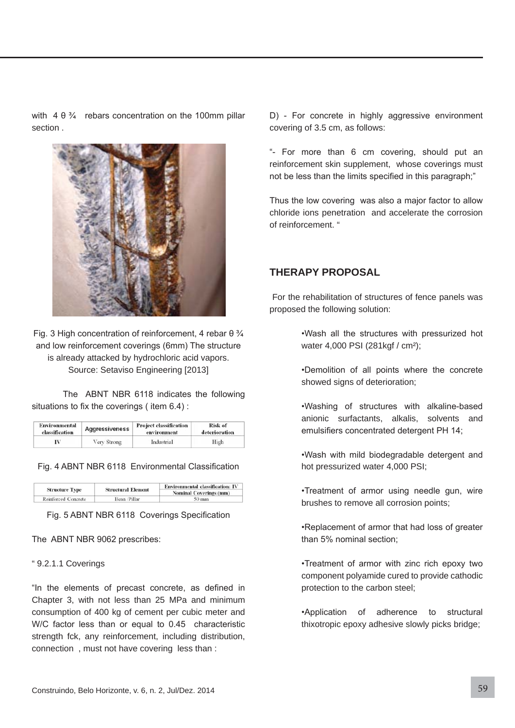with  $4 \theta \frac{3}{4}$  rebars concentration on the 100mm pillar section .



Fig. 3 High concentration of reinforcement, 4 rebar  $\theta \frac{3}{4}$ and low reinforcement coverings (6mm) The structure is already attacked by hydrochloric acid vapors. Source: Setaviso Engineering [2013]

The ABNT NBR 6118 indicates the following situations to fix the coverings (item  $6.4$ ):

| <b>Environmental</b> | <b>Aggressiveness</b> | <b>Project classification</b> | Risk of       |
|----------------------|-----------------------|-------------------------------|---------------|
| classification       |                       | environment                   | deterioration |
|                      | Very Strong           | Industrial                    | High          |

Fig. 4 ABNT NBR 6118 Environmental Classification

|                       |                           | <b>Environmental classification: IV</b><br><b>Nominal Coverings (mm)</b> |  |
|-----------------------|---------------------------|--------------------------------------------------------------------------|--|
| <b>Structure Type</b> | <b>Structural Element</b> |                                                                          |  |
| Reinforced Concrete   | Bean Pillar               | $50 \text{ mm}$                                                          |  |

Fig. 5 ABNT NBR 6118 Coverings Specification

The ABNT NBR 9062 prescribes:

#### " 9.2.1.1 Coverings

"In the elements of precast concrete, as defined in Chapter 3, with not less than 25 MPa and minimum consumption of 400 kg of cement per cubic meter and W/C factor less than or equal to  $0.45$  characteristic strength fck, any reinforcement, including distribution, connection , must not have covering less than :

D) - For concrete in highly aggressive environment covering of 3.5 cm, as follows:

"- For more than 6 cm covering, should put an reinforcement skin supplement, whose coverings must not be less than the limits specified in this paragraph;"

Thus the low covering was also a major factor to allow chloride ions penetration and accelerate the corrosion of reinforcement. "

#### **THERAPY PROPOSAL**

 For the rehabilitation of structures of fence panels was proposed the following solution:

> . Wash all the structures with pressurized hot water 4,000 PSI (281kgf / cm<sup>2</sup>);

> \*Demolition of all points where the concrete showed signs of deterioration;

> . Washing of structures with alkaline-based anionic surfactants, alkalis, solvents and emulsifiers concentrated detergent PH 14;

> . Wash with mild biodegradable detergent and hot pressurized water 4,000 PSI;

> •Treatment of armor using needle gun, wire brushes to remove all corrosion points;

> •Replacement of armor that had loss of greater than 5% nominal section:

> •Treatment of armor with zinc rich epoxy two component polyamide cured to provide cathodic protection to the carbon steel;

> .Application of adherence to structural thixotropic epoxy adhesive slowly picks bridge;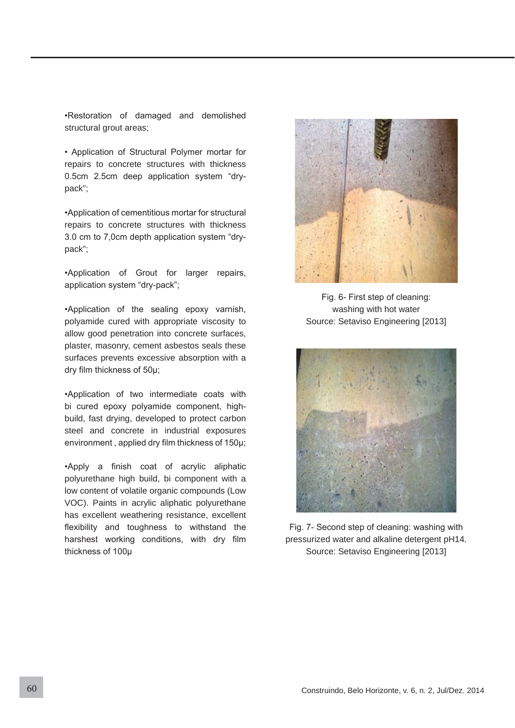•Restoration of damaged and demolished structural grout areas;

• Application of Structural Polymer mortar for repairs to concrete structures with thickness  $0.5$ cm  $2.5$ cm deep application system "drypack";

\*Application of cementitious mortar for structural repairs to concrete structures with thickness 3.0 cm to 7,0cm depth application system "drypack";

\*Application of Grout for larger repairs, application system "dry-pack";

\*Application of the sealing epoxy varnish, polyamide cured with appropriate viscosity to allow good penetration into concrete surfaces, plaster, masonry, cement asbestos seals these surfaces prevents excessive absorption with a dry film thickness of 50µ;

\*Application of two intermediate coats with bi cured epoxy polyamide component, highbuild, fast drying, developed to protect carbon steel and concrete in industrial exposures environment, applied dry film thickness of  $150\mu$ ;

.Apply a finish coat of acrylic aliphatic polyurethane high build, bi component with a low content of volatile organic compounds (Low VOC). Paints in acrylic aliphatic polyurethane has excellent weathering resistance, excellent flexibility and toughness to withstand the harshest working conditions, with dry film thickness of 100u



Fig. 6- First step of cleaning: washing with hot water Source: Setaviso Engineering [2013]



Fig. 7- Second step of cleaning: washing with pressurized water and alkaline detergent pH14. Source: Setaviso Engineering [2013]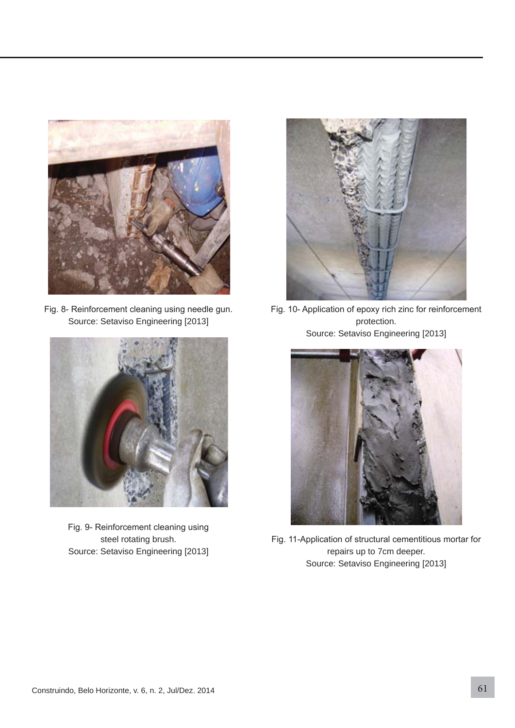

Fig. 8- Reinforcement cleaning using needle gun. Source: Setaviso Engineering [2013]



Fig. 9- Reinforcement cleaning using steel rotating brush. Source: Setaviso Engineering [2013]



Fig. 10- Application of epoxy rich zinc for reinforcement protection. Source: Setaviso Engineering [2013]



Fig. 11-Application of structural cementitious mortar for repairs up to 7cm deeper. Source: Setaviso Engineering [2013]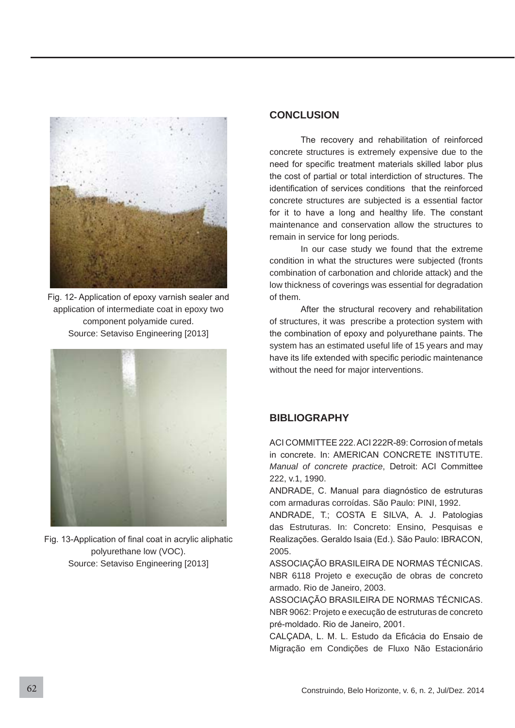

Fig. 12- Application of epoxy varnish sealer and application of intermediate coat in epoxy two component polyamide cured. Source: Setaviso Engineering [2013]



Fig. 13-Application of final coat in acrylic aliphatic polyurethane low (VOC). Source: Setaviso Engineering [2013]

## **CONCLUSION**

The recovery and rehabilitation of reinforced concrete structures is extremely expensive due to the need for specific treatment materials skilled labor plus the cost of partial or total interdiction of structures. The identification of services conditions that the reinforced concrete structures are subjected is a essential factor for it to have a long and healthy life. The constant maintenance and conservation allow the structures to remain in service for long periods.

 In our case study we found that the extreme condition in what the structures were subjected (fronts combination of carbonation and chloride attack) and the low thickness of coverings was essential for degradation of them.

After the structural recovery and rehabilitation of structures, it was prescribe a protection system with the combination of epoxy and polyurethane paints. The system has an estimated useful life of 15 years and may have its life extended with specific periodic maintenance without the need for major interventions.

# **BIBLIOGRAPHY**

ACLCOMMITTEE 222 ACL222R-89; Corrosion of metals in concrete. In: AMERICAN CONCRETE INSTITUTE. *Manual of concrete practice*, Detroit: ACI Committee 222, v.1, 1990.

ANDRADE, C. Manual para diagnóstico de estruturas com armaduras corroídas. São Paulo: PINI, 1992.

ANDRADE, T.; COSTA E SILVA, A. J. Patologias das Estruturas. In: Concreto: Ensino, Pesquisas e Realizações. Geraldo Isaia (Ed.). São Paulo: IBRACON, 2005.

ASSOCIAÇÃO BRASILEIRA DE NORMAS TÉCNICAS. NBR 6118 Projeto e execução de obras de concreto armado. Rio de Janeiro, 2003.

ASSOCIAÇÃO BRASILEIRA DE NORMAS TÉCNICAS. NBR 9062: Projeto e execução de estruturas de concreto pré-moldado. Rio de Janeiro, 2001.

CALCADA, L. M. L. Estudo da Eficácia do Ensaio de Migração em Condições de Fluxo Não Estacionário